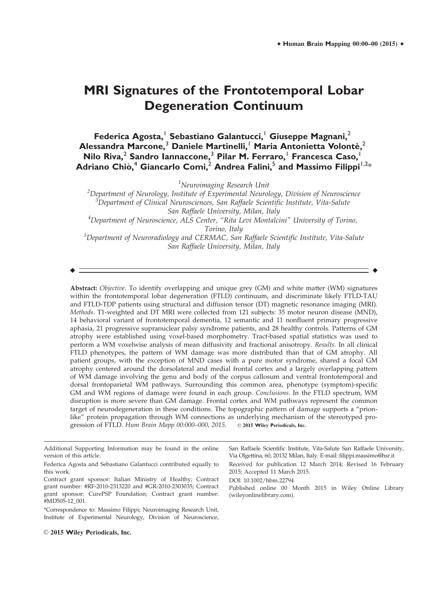# **MRI Signatures of the Frontotemporal Lobar Degeneration Continuum**

**Federica Agosta,**<sup>1</sup> **Sebastiano Galantucci,**<sup>1</sup> **Giuseppe Magnani,**<sup>2</sup> **Alessandra Marcone,**<sup>3</sup> **Daniele Martinelli,**<sup>1</sup> **Maria Antonietta Volonte`,** 2 **Nilo Riva,**<sup>2</sup> **Sandro Iannaccone,**<sup>3</sup> **Pilar M. Ferraro,**<sup>1</sup> **Francesca Caso,**<sup>1</sup>  $A$ driano Chiò,<sup>4</sup> Giancarlo Comi,<sup>2</sup> Andrea Falini,<sup>5</sup> and Massimo Filippi<sup>1,2</sup>\*

<sup>1</sup>Neuroimaging Research Unit

 $^2$ Department of Neurology, Institute of Experimental Neurology, Division of Neuroscience <sup>3</sup>Department of Clinical Neurosciences, San Raffaele Scientific Institute, Vita-Salute San Raffaele University, Milan, Italy

<sup>4</sup>Department of Neuroscience, ALS Center, "Rita Levi Montalcini" University of Torino, Torino, Italy

 $^5$ Department of Neuroradiology and CERMAC, San Raffaele Scientific Institute, Vita-Salute San Raffaele University, Milan, Italy

 $\bullet$  -contract to the contract of the contract of the contract of the contract of the contract of the contract of the contract of the contract of the contract of the contract of the contract of the contract of the contrac

Abstract: Objective. To identify overlapping and unique grey (GM) and white matter (WM) signatures within the frontotemporal lobar degeneration (FTLD) continuum, and discriminate likely FTLD-TAU and FTLD-TDP patients using structural and diffusion tensor (DT) magnetic resonance imaging (MRI). Methods. T1-weighted and DT MRI were collected from 121 subjects: 35 motor neuron disease (MND), 14 behavioral variant of frontotemporal dementia, 12 semantic and 11 nonfluent primary progressive aphasia, 21 progressive supranuclear palsy syndrome patients, and 28 healthy controls. Patterns of GM atrophy were established using voxel-based morphometry. Tract-based spatial statistics was used to perform a WM voxelwise analysis of mean diffusivity and fractional anisotropy. Results. In all clinical FTLD phenotypes, the pattern of WM damage was more distributed than that of GM atrophy. All patient groups, with the exception of MND cases with a pure motor syndrome, shared a focal GM atrophy centered around the dorsolateral and medial frontal cortex and a largely overlapping pattern of WM damage involving the genu and body of the corpus callosum and ventral frontotemporal and dorsal frontoparietal WM pathways. Surrounding this common area, phenotype (symptom)-specific GM and WM regions of damage were found in each group. Conclusions. In the FTLD spectrum, WM disruption is more severe than GM damage. Frontal cortex and WM pathways represent the common target of neurodegeneration in these conditions. The topographic pattern of damage supports a "prionlike" protein propagation through WM connections as underlying mechanism of the stereotyped progression of FTLD. Hum Brain Mapp 00:000-000, 2015.  $\circ$  2015 Wiley Periodicals, Inc.

\*Correspondence to: Massimo Filippi; Neuroimaging Research Unit, Institute of Experimental Neurology, Division of Neuroscience,

San Raffaele Scientific Institute, Vita-Salute San Raffaele University, Via Olgettina, 60, 20132 Milan, Italy. E-mail: filippi.massimo@hsr.it

Received for publication 12 March 2014; Revised 16 February 2015; Accepted 11 March 2015.

DOI: 10.1002/hbm.22794

Published online 00 Month 2015 in Wiley Online Library (wileyonlinelibrary.com).

Additional Supporting Information may be found in the online version of this article.

Federica Agosta and Sebastiano Galantucci contributed equally to this work.

Contract grant sponsor: Italian Ministry of Healthy; Contract grant number: #RF-2010-2313220 and #GR-2010-2303035; Contract grant sponsor: CurePSP Foundation; Contract grant number: #MD505-12\_001.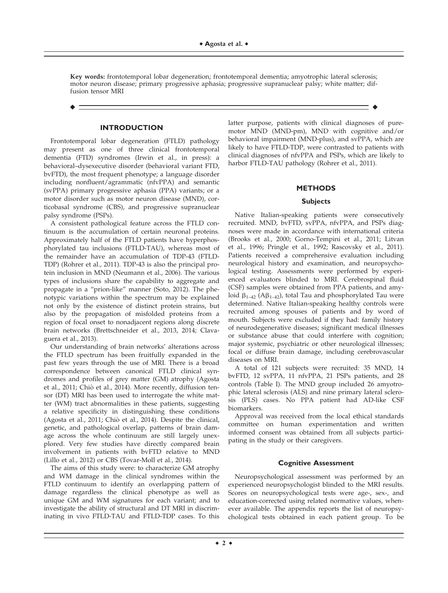Key words: frontotemporal lobar degeneration; frontotemporal dementia; amyotrophic lateral sclerosis; motor neuron disease; primary progressive aphasia; progressive supranuclear palsy; white matter; diffusion tensor MRI

r r

# **INTRODUCTION**

Frontotemporal lobar degeneration (FTLD) pathology may present as one of three clinical frontotemporal dementia (FTD) syndromes (Irwin et al., in press): a behavioral–dysexecutive disorder (behavioral variant FTD, bvFTD), the most frequent phenotype; a language disorder including nonfluent/agrammatic (nfvPPA) and semantic (svPPA) primary progressive aphasia (PPA) variants; or a motor disorder such as motor neuron disease (MND), corticobasal syndrome (CBS), and progressive supranuclear palsy syndrome (PSPs).

A consistent pathological feature across the FTLD continuum is the accumulation of certain neuronal proteins. Approximately half of the FTLD patients have hyperphosphorylated tau inclusions (FTLD-TAU), whereas most of the remainder have an accumulation of TDP-43 (FTLD-TDP) (Rohrer et al., 2011). TDP-43 is also the principal protein inclusion in MND (Neumann et al., 2006). The various types of inclusions share the capability to aggregate and propagate in a "prion-like" manner (Soto, 2012). The phenotypic variations within the spectrum may be explained not only by the existence of distinct protein strains, but also by the propagation of misfolded proteins from a region of focal onset to nonadjacent regions along discrete brain networks (Brettschneider et al., 2013, 2014; Clavaguera et al., 2013).

Our understanding of brain networks' alterations across the FTLD spectrum has been fruitfully expanded in the past few years through the use of MRI. There is a broad correspondence between canonical FTLD clinical syndromes and profiles of grey matter (GM) atrophy (Agosta et al., 2011; Chiò et al., 2014). More recently, diffusion tensor (DT) MRI has been used to interrogate the white matter (WM) tract abnormalities in these patients, suggesting a relative specificity in distinguishing these conditions (Agosta et al., 2011; Chiò et al., 2014). Despite the clinical, genetic, and pathological overlap, patterns of brain damage across the whole continuum are still largely unexplored. Very few studies have directly compared brain involvement in patients with bvFTD relative to MND (Lillo et al., 2012) or CBS (Tovar-Moll et al., 2014).

The aims of this study were: to characterize GM atrophy and WM damage in the clinical syndromes within the FTLD continuum to identify an overlapping pattern of damage regardless the clinical phenotype as well as unique GM and WM signatures for each variant; and to investigate the ability of structural and DT MRI in discriminating in vivo FTLD-TAU and FTLD-TDP cases. To this latter purpose, patients with clinical diagnoses of puremotor MND (MND-pm), MND with cognitive and/or behavioral impairment (MND-plus), and svPPA, which are likely to have FTLD-TDP, were contrasted to patients with clinical diagnoses of nfvPPA and PSPs, which are likely to harbor FTLD-TAU pathology (Rohrer et al., 2011).

# **METHODS**

# **Subjects**

Native Italian-speaking patients were consecutively recruited. MND, bvFTD, svPPA, nfvPPA, and PSPs diagnoses were made in accordance with international criteria (Brooks et al., 2000; Gorno-Tempini et al., 2011; Litvan et al., 1996; Pringle et al., 1992; Rascovsky et al., 2011). Patients received a comprehensive evaluation including neurological history and examination, and neuropsychological testing. Assessments were performed by experienced evaluators blinded to MRI. Cerebrospinal fluid (CSF) samples were obtained from PPA patients, and amyloid  $\beta_{1-42}$  (A $\beta_{1-42}$ ), total Tau and phosphorylated Tau were determined. Native Italian-speaking healthy controls were recruited among spouses of patients and by word of mouth. Subjects were excluded if they had: family history of neurodegenerative diseases; significant medical illnesses or substance abuse that could interfere with cognition; major systemic, psychiatric or other neurological illnesses; focal or diffuse brain damage, including cerebrovascular diseases on MRI.

A total of 121 subjects were recruited: 35 MND, 14 bvFTD, 12 svPPA, 11 nfvPPA, 21 PSPs patients, and 28 controls (Table I). The MND group included 26 amyotrophic lateral sclerosis (ALS) and nine primary lateral sclerosis (PLS) cases. No PPA patient had AD-like CSF biomarkers.

Approval was received from the local ethical standards committee on human experimentation and written informed consent was obtained from all subjects participating in the study or their caregivers.

#### **Cognitive Assessment**

Neuropsychological assessment was performed by an experienced neuropsychologist blinded to the MRI results. Scores on neuropsychological tests were age-, sex-, and education-corrected using related normative values, whenever available. The appendix reports the list of neuropsychological tests obtained in each patient group. To be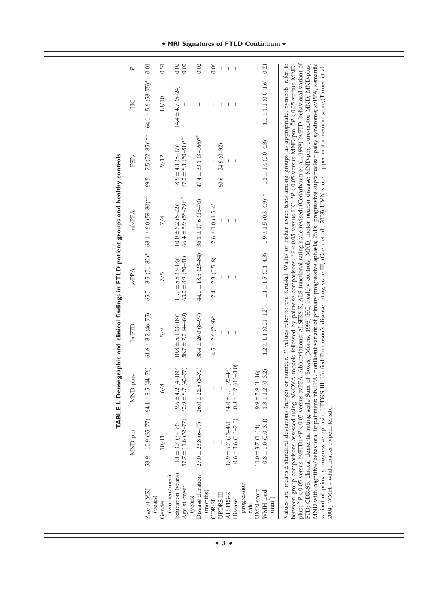|                                                                                   |                                                                                                 |                                                                    | TABLE I. Demographic and clinical findings in FTLD patient groups and healthy controls |                                                     |                                                                           |                                                                                                                                                                                                                                                                                                                                                                                                                                                                                                                                                                                                                                                                                                                                                                                                                                                                                                                                                                                    |                              |                |
|-----------------------------------------------------------------------------------|-------------------------------------------------------------------------------------------------|--------------------------------------------------------------------|----------------------------------------------------------------------------------------|-----------------------------------------------------|---------------------------------------------------------------------------|------------------------------------------------------------------------------------------------------------------------------------------------------------------------------------------------------------------------------------------------------------------------------------------------------------------------------------------------------------------------------------------------------------------------------------------------------------------------------------------------------------------------------------------------------------------------------------------------------------------------------------------------------------------------------------------------------------------------------------------------------------------------------------------------------------------------------------------------------------------------------------------------------------------------------------------------------------------------------------|------------------------------|----------------|
|                                                                                   | MND-pm                                                                                          | MND-plus                                                           | bvFTD                                                                                  | <b>Addrs</b>                                        | nfvPPA                                                                    | PSP <sub>s</sub>                                                                                                                                                                                                                                                                                                                                                                                                                                                                                                                                                                                                                                                                                                                                                                                                                                                                                                                                                                   | EC                           | $\overline{L}$ |
| Age at MRI                                                                        | $58.9 \pm 10.9$ (35-77) 64.1 ± 8.5 (44-76)                                                      |                                                                    | $61.6 \pm 8.2$ (46-75)                                                                 | $65.5 \pm 8.5 (51 - 82)^*$                          | $68.1 \pm 6.0 (59 - 80)^{* \times}$                                       | $69.5 \pm 7.5 (52 - 85)^{\circ * \times}$                                                                                                                                                                                                                                                                                                                                                                                                                                                                                                                                                                                                                                                                                                                                                                                                                                                                                                                                          | $64.1 \pm 5.6$ $(58 - 75)^*$ | 0.01           |
| (years)<br>Gender                                                                 | 10/11                                                                                           | $\mathcal{P}$                                                      | 5/9                                                                                    | 7/5                                                 | 7/4                                                                       | 9/12                                                                                                                                                                                                                                                                                                                                                                                                                                                                                                                                                                                                                                                                                                                                                                                                                                                                                                                                                                               | 18/10                        | 0.51           |
| Education (years)<br>(women/men)<br>Age at onset                                  | $57.7 \pm 11.8$ (32-77)<br>$11.1 \pm 3.7 (3 - 17)$ °                                            | $(42 - 77)$<br>$9.6 \pm 4.2$ (4-18) <sup>o</sup><br>$62.9 \pm 8.7$ | $58.7 \pm 7.2$ (44-69)<br>$10.8 \pm 5.1 (3 - 18)$ °                                    | $63.2 \pm 8.9$ (50-81)<br>$11.0 \pm 5.5$ $(3-18)$ ° | $66.4 \pm 5.9 (58 - 79)^{* \times}$<br>$10.0 \pm 6.2$ (5-22) <sup>o</sup> | $67.2 \pm 8.1 (50 - 81)^{* \times}$<br>$8.9 \pm 4.1$ (5-17)°                                                                                                                                                                                                                                                                                                                                                                                                                                                                                                                                                                                                                                                                                                                                                                                                                                                                                                                       | $14.4 \pm 4.7$ (5-24)        | 0.02<br>0.02   |
| Disease duration<br>(years)                                                       | $27.0 \pm 23.8$ (6-97)                                                                          | $26.0 \pm 22.5$ (3-70)                                             | $38.4 \pm 26.0$ $(8-97)$                                                               | $44.0 \pm 18.5$ (23-84)                             | $36.1 \pm 17.6$ (15-70)                                                   | $47.4 \pm 33.1 (3 - 166)^{*#}$                                                                                                                                                                                                                                                                                                                                                                                                                                                                                                                                                                                                                                                                                                                                                                                                                                                                                                                                                     |                              | 0.02           |
| (months)<br>UPDRS III<br>CDR-SB                                                   |                                                                                                 |                                                                    | $4.5 \pm 2.6$ (2-9) <sup><math>\wedge</math></sup>                                     | $2.4 \pm 2.3$ (0.5-8)                               | $2.6 \pm 1.0$ (1.5-4)                                                     | $60.6 \pm 24.9$ (0-92)                                                                                                                                                                                                                                                                                                                                                                                                                                                                                                                                                                                                                                                                                                                                                                                                                                                                                                                                                             |                              | 0.06           |
| ALSFRS-R<br>Disease                                                               | $0.6 \pm 0.6$ (0.1-2.5)<br>$37.9 \pm 5.7$ (23-46)                                               | $(0.1 - 3.0)$<br>$34.0 \pm 9.1 (22 - 45)$<br>$0.8\pm0.7$           | $\overline{1}$                                                                         |                                                     | $\overline{1}$                                                            |                                                                                                                                                                                                                                                                                                                                                                                                                                                                                                                                                                                                                                                                                                                                                                                                                                                                                                                                                                                    |                              |                |
| progression<br><b>UMN</b> score<br>WMH load<br>$\left(\text{mm}^3\right)$<br>rate | $\begin{array}{c} 11.0 \pm 3.7 \ (1\text{--}14) \\ 0.8 \pm 1.0 \ (0.0\text{--}3.4) \end{array}$ | $(0 - 3.2)$<br>$(1 - 16)$<br>$9.9 + 5.9$<br>$1.3 \pm 1.2$          | $1.2 \pm 1.4 (0.04 - 4.2)$                                                             | $1.4 \pm 1.5(0.1 - 4.3)$                            | $1.9 \pm 1.5 (0.3 - 4.9)^{0.4}$                                           | $1.2 \pm 1.4 (0.0 - 4.3)$                                                                                                                                                                                                                                                                                                                                                                                                                                                                                                                                                                                                                                                                                                                                                                                                                                                                                                                                                          | $1.1 \pm 1.1$ (0.0-4.6)      | 0.24           |
|                                                                                   | Values are means ± standard deviations (range)<br>2004) WMH = white matter hyperintensity       |                                                                    |                                                                                        |                                                     |                                                                           | MND with cognitive/behavioral impairment; nfvPPA, nonfluent variant of primary progressive aphasia; PSPs, progressive supranuclear palsy syndrome; svPPA, semantic<br>plus; <sup>x</sup> P<0.05 versus bvFID; ^P<0.05 versus svPPA. Abbreviations: ALSFRS-R, ALS functional rating scale revised; (Cedarbaum et al., 1999) bvFID, behavioral variant of<br>variant of primary progressive aphasia; UPDRS III, Unified Parkinson's disease rating scale III; (Goetz et al., 2008) UMN score, upper motor neuron score; (Turner et al.,<br>or number. P values refer to the Kruskal-Wallis or Fisher exact tests among groups as appropriate. Symbols refer to<br>between group comparisons assessed using ANOVA models followed by pairwise comparisons: $P < 0.05$ versus HC; *P<0.05 versus MND-pm; *P<0.05 versus MND-<br>FTD; CDR-SB, clinical dementia rating scale Sum of Boxes; (Morris, 1993) HC, healthy controls; MND, motor neuron disease; MND-pm, pure-motor MND-plus, |                              |                |

# $*$  **MRI Signatures of FTLD Continuum**  $*$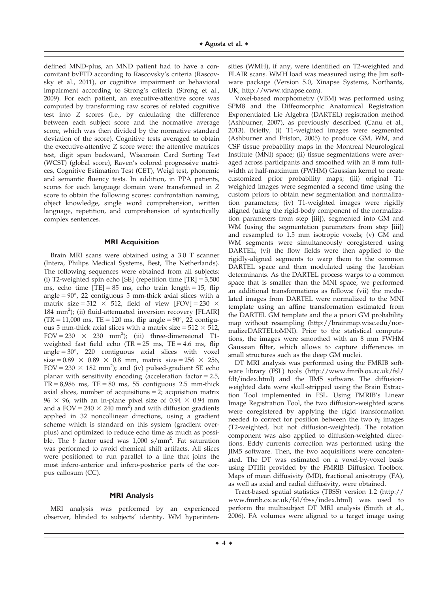defined MND-plus, an MND patient had to have a concomitant bvFTD according to Rascovsky's criteria (Rascovsky et al., 2011), or cognitive impairment or behavioral impairment according to Strong's criteria (Strong et al., 2009). For each patient, an executive-attentive score was computed by transforming raw scores of related cognitive test into Z scores (i.e., by calculating the difference between each subject score and the normative average score, which was then divided by the normative standard deviation of the score). Cognitive tests averaged to obtain the executive-attentive Z score were: the attentive matrices test, digit span backward, Wisconsin Card Sorting Test (WCST) (global score), Raven's colored progressive matrices, Cognitive Estimation Test (CET), Weigl test, phonemic and semantic fluency tests. In addition, in PPA patients, scores for each language domain were transformed in Z score to obtain the following scores: confrontation naming, object knowledge, single word comprehension, written language, repetition, and comprehension of syntactically complex sentences.

## **MRI Acquisition**

Brain MRI scans were obtained using a 3.0 T scanner (Intera, Philips Medical Systems, Best, The Netherlands). The following sequences were obtained from all subjects: (i) T2-weighted spin echo [SE] (repetition time  $[TR] = 3,500$ ms, echo time  $[TE] = 85$  ms, echo train length = 15, flip angle =  $90^{\circ}$ , 22 contiguous 5 mm-thick axial slices with a matrix size = 512  $\times$  512, field of view [FOV] = 230  $\times$ 184 mm<sup>2</sup>); (ii) fluid-attenuated inversion recovery [FLAIR]  $(TR = 11,000 \text{ ms}, TE = 120 \text{ ms}, flip angle = 90^{\circ}, 22 \text{ contigu-}$ ous 5 mm-thick axial slices with a matrix size =  $512 \times 512$ , FOV = 230  $\times$  230 mm<sup>2</sup>); (iii) three-dimensional T1weighted fast field echo (TR =  $25$  ms, TE =  $4.6$  ms, flip  $angle = 30^{\circ}$ , 220 contiguous axial slices with voxel size =  $0.89 \times 0.89 \times 0.8$  mm, matrix size =  $256 \times 256$ , FOV = 230  $\times$  182 mm<sup>2</sup>); and (iv) pulsed-gradient SE echo planar with sensitivity encoding (acceleration factor  $= 2.5$ ,  $TR = 8,986$  ms,  $TE = 80$  ms, 55 contiguous 2.5 mm-thick axial slices, number of acquisitions  $= 2$ ; acquisition matrix  $96 \times 96$ , with an in-plane pixel size of 0.94  $\times$  0.94 mm and a FOV = 240  $\times$  240 mm<sup>2</sup>) and with diffusion gradients applied in 32 noncollinear directions, using a gradient scheme which is standard on this system (gradient overplus) and optimized to reduce echo time as much as possible. The  $b$  factor used was 1,000 s/mm<sup>2</sup>. Fat saturation was performed to avoid chemical shift artifacts. All slices were positioned to run parallel to a line that joins the most infero-anterior and infero-posterior parts of the corpus callosum (CC).

#### **MRI Analysis**

MRI analysis was performed by an experienced observer, blinded to subjects' identity. WM hyperinten-

sities (WMH), if any, were identified on T2-weighted and FLAIR scans. WMH load was measured using the Jim software package (Version 5.0, Xinapse Systems, Northants, UK, [http://www.xinapse.com\)](http://www.xinapse.com).

Voxel-based morphometry (VBM) was performed using SPM8 and the Diffeomorphic Anatomical Registration Exponentiated Lie Algebra (DARTEL) registration method (Ashburner, 2007), as previously described (Canu et al., 2013). Briefly, (i) T1-weighted images were segmented (Ashburner and Friston, 2005) to produce GM, WM, and CSF tissue probability maps in the Montreal Neurological Institute (MNI) space; (ii) tissue segmentations were averaged across participants and smoothed with an 8 mm fullwidth at half-maximum (FWHM) Gaussian kernel to create customized prior probability maps; (iii) original T1 weighted images were segmented a second time using the custom priors to obtain new segmentation and normalization parameters; (iv) T1-weighted images were rigidly aligned (using the rigid-body component of the normalization parameters from step [iii]), segmented into GM and WM (using the segmentation parameters from step [iii]) and resampled to 1.5 mm isotropic voxels; (v) GM and WM segments were simultaneously coregistered using DARTEL; (vi) the flow fields were then applied to the rigidly-aligned segments to warp them to the common DARTEL space and then modulated using the Jacobian determinants. As the DARTEL process warps to a common space that is smaller than the MNI space, we performed an additional transformations as follows: (vii) the modulated images from DARTEL were normalized to the MNI template using an affine transformation estimated from the DARTEL GM template and the a priori GM probability map without resampling ([http://brainmap.wisc.edu/nor](http://brainmap.wisc.edu/normalizeDARTELtoMNI)[malizeDARTELtoMNI\)](http://brainmap.wisc.edu/normalizeDARTELtoMNI). Prior to the statistical computations, the images were smoothed with an 8 mm FWHM Gaussian filter, which allows to capture differences in small structures such as the deep GM nuclei.

DT MRI analysis was performed using the FMRIB software library (FSL) tools [\(http://www.fmrib.ox.ac.uk/fsl/](http://www.fmrib.ox.ac.uk/fsl/fdt/index.html) [fdt/index.html](http://www.fmrib.ox.ac.uk/fsl/fdt/index.html)) and the JIM5 software. The diffusionweighted data were skull-stripped using the Brain Extraction Tool implemented in FSL. Using FMRIB's Linear Image Registration Tool, the two diffusion-weighted scans were coregistered by applying the rigid transformation needed to correct for position between the two  $b_0$  images (T2-weighted, but not diffusion-weighted). The rotation component was also applied to diffusion-weighted directions. Eddy currents correction was performed using the JIM5 software. Then, the two acquisitions were concatenated. The DT was estimated on a voxel-by-voxel basis using DTIfit provided by the FMRIB Diffusion Toolbox. Maps of mean diffusivity (MD), fractional anisotropy (FA), as well as axial and radial diffusivity, were obtained.

Tract-based spatial statistics (TBSS) version 1.2 [\(http://](http://www.fmrib.ox.ac.uk/fsl/tbss/index.html) [www.fmrib.ox.ac.uk/fsl/tbss/index.html\)](http://www.fmrib.ox.ac.uk/fsl/tbss/index.html) was used to perform the multisubject DT MRI analysis (Smith et al., 2006). FA volumes were aligned to a target image using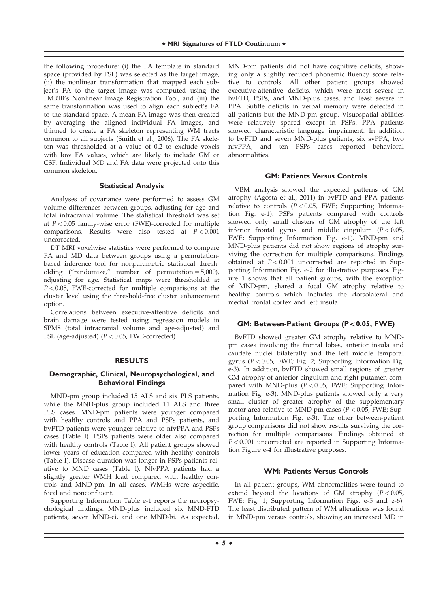the following procedure: (i) the FA template in standard space (provided by FSL) was selected as the target image, (ii) the nonlinear transformation that mapped each subject's FA to the target image was computed using the FMRIB's Nonlinear Image Registration Tool, and (iii) the same transformation was used to align each subject's FA to the standard space. A mean FA image was then created by averaging the aligned individual FA images, and thinned to create a FA skeleton representing WM tracts common to all subjects (Smith et al., 2006). The FA skeleton was thresholded at a value of 0.2 to exclude voxels with low FA values, which are likely to include GM or CSF. Individual MD and FA data were projected onto this common skeleton.

# **Statistical Analysis**

Analyses of covariance were performed to assess GM volume differences between groups, adjusting for age and total intracranial volume. The statistical threshold was set at  $P < 0.05$  family-wise error (FWE)-corrected for multiple comparisons. Results were also tested at  $P < 0.001$ uncorrected.

DT MRI voxelwise statistics were performed to compare FA and MD data between groups using a permutationbased inference tool for nonparametric statistical thresholding ("randomize," number of permutation  $= 5,000$ ), adjusting for age. Statistical maps were thresholded at  $P < 0.05$ , FWE-corrected for multiple comparisons at the cluster level using the threshold-free cluster enhancement option.

Correlations between executive-attentive deficits and brain damage were tested using regression models in SPM8 (total intracranial volume and age-adjusted) and FSL (age-adjusted) ( $P < 0.05$ , FWE-corrected).

# **RESULTS**

# **Demographic, Clinical, Neuropsychological, and Behavioral Findings**

MND-pm group included 15 ALS and six PLS patients, while the MND-plus group included 11 ALS and three PLS cases. MND-pm patients were younger compared with healthy controls and PPA and PSPs patients, and bvFTD patients were younger relative to nfvPPA and PSPs cases (Table I). PSPs patients were older also compared with healthy controls (Table I). All patient groups showed lower years of education compared with healthy controls (Table I). Disease duration was longer in PSPs patients relative to MND cases (Table I). NfvPPA patients had a slightly greater WMH load compared with healthy controls and MND-pm. In all cases, WMHs were aspecific, focal and nonconfluent.

Supporting Information Table e-1 reports the neuropsychological findings. MND-plus included six MND-FTD patients, seven MND-ci, and one MND-bi. As expected,

MND-pm patients did not have cognitive deficits, showing only a slightly reduced phonemic fluency score relative to controls. All other patient groups showed executive-attentive deficits, which were most severe in bvFTD, PSPs, and MND-plus cases, and least severe in PPA. Subtle deficits in verbal memory were detected in all patients but the MND-pm group. Visuospatial abilities were relatively spared except in PSPs. PPA patients showed characteristic language impairment. In addition to bvFTD and seven MND-plus patients, six svPPA, two nfvPPA, and ten PSPs cases reported behavioral abnormalities.

#### **GM: Patients Versus Controls**

VBM analysis showed the expected patterns of GM atrophy (Agosta et al., 2011) in bvFTD and PPA patients relative to controls  $(P < 0.05$ , FWE; Supporting Information Fig. e-1). PSPs patients compared with controls showed only small clusters of GM atrophy of the left inferior frontal gyrus and middle cingulum  $(P < 0.05)$ , FWE; Supporting Information Fig. e-1). MND-pm and MND-plus patients did not show regions of atrophy surviving the correction for multiple comparisons. Findings obtained at  $P < 0.001$  uncorrected are reported in Supporting Information Fig. e-2 for illustrative purposes. Figure 1 shows that all patient groups, with the exception of MND-pm, shared a focal GM atrophy relative to healthy controls which includes the dorsolateral and medial frontal cortex and left insula.

# **GM: Between-Patient Groups (P** < **0.05, FWE)**

BvFTD showed greater GM atrophy relative to MNDpm cases involving the frontal lobes, anterior insula and caudate nuclei bilaterally and the left middle temporal gyrus ( $P < 0.05$ , FWE; Fig. 2; Supporting Information Fig. e-3). In addition, bvFTD showed small regions of greater GM atrophy of anterior cingulum and right putamen compared with MND-plus  $(P < 0.05$ , FWE; Supporting Information Fig. e-3). MND-plus patients showed only a very small cluster of greater atrophy of the supplementary motor area relative to MND-pm cases ( $P < 0.05$ , FWE; Supporting Information Fig. e-3). The other between-patient group comparisons did not show results surviving the correction for multiple comparisons. Findings obtained at  $P < 0.001$  uncorrected are reported in Supporting Information Figure e-4 for illustrative purposes.

# **WM: Patients Versus Controls**

In all patient groups, WM abnormalities were found to extend beyond the locations of GM atrophy  $(P < 0.05$ , FWE; Fig. 1; Supporting Information Figs. e-5 and e-6). The least distributed pattern of WM alterations was found in MND-pm versus controls, showing an increased MD in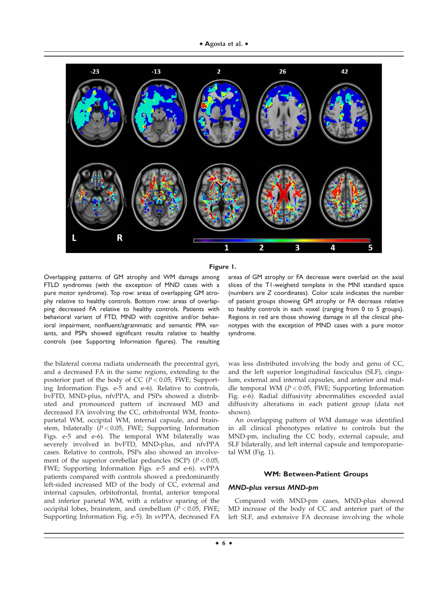

#### **Figure 1.**

Overlapping patterns of GM atrophy and WM damage among FTLD syndromes (with the exception of MND cases with a pure motor syndrome). Top row: areas of overlapping GM atrophy relative to healthy controls. Bottom row: areas of overlapping decreased FA relative to healthy controls. Patients with behavioral variant of FTD, MND with cognitive and/or behavioral impairment, nonfluent/agrammatic and semantic PPA variants, and PSPs showed significant results relative to healthy controls (see Supporting Information figures). The resulting

the bilateral corona radiata underneath the precentral gyri, and a decreased FA in the same regions, extending to the posterior part of the body of CC ( $P < 0.05$ , FWE; Supporting Information Figs. e-5 and e-6). Relative to controls, bvFTD, MND-plus, nfvPPA, and PSPs showed a distributed and pronounced pattern of increased MD and decreased FA involving the CC, orbitofrontal WM, frontoparietal WM, occipital WM, internal capsule, and brainstem, bilaterally  $(P < 0.05$ , FWE; Supporting Information Figs. e-5 and e-6). The temporal WM bilaterally was severely involved in bvFTD, MND-plus, and nfvPPA cases. Relative to controls, PSPs also showed an involvement of the superior cerebellar peduncles (SCP) ( $P < 0.05$ , FWE; Supporting Information Figs. e-5 and e-6). svPPA patients compared with controls showed a predominantly left-sided increased MD of the body of CC, external and internal capsules, orbitofrontal, frontal, anterior temporal and inferior parietal WM, with a relative sparing of the occipital lobes, brainstem, and cerebellum ( $P < 0.05$ , FWE; Supporting Information Fig. e-5). In svPPA, decreased FA

areas of GM atrophy or FA decrease were overlaid on the axial slices of the T1-weighetd template in the MNI standard space (numbers are *Z* coordinates). Color scale indicates the number of patient groups showing GM atrophy or FA decrease relative to healthy controls in each voxel (ranging from 0 to 5 groups). Regions in red are those showing damage in all the clinical phenotypes with the exception of MND cases with a pure motor syndrome.

was less distributed involving the body and genu of CC, and the left superior longitudinal fasciculus (SLF), cingulum, external and internal capsules, and anterior and middle temporal WM ( $P < 0.05$ , FWE; Supporting Information Fig. e-6). Radial diffusivity abnormalities exceeded axial diffusivity alterations in each patient group (data not shown).

An overlapping pattern of WM damage was identified in all clinical phenotypes relative to controls but the MND-pm, including the CC body, external capsule, and SLF bilaterally, and left internal capsule and temporoparietal WM (Fig. 1).

#### **WM: Between-Patient Groups**

# MND-plus v**ersu**s MND-pm

Compared with MND-pm cases, MND-plus showed MD increase of the body of CC and anterior part of the left SLF, and extensive FA decrease involving the whole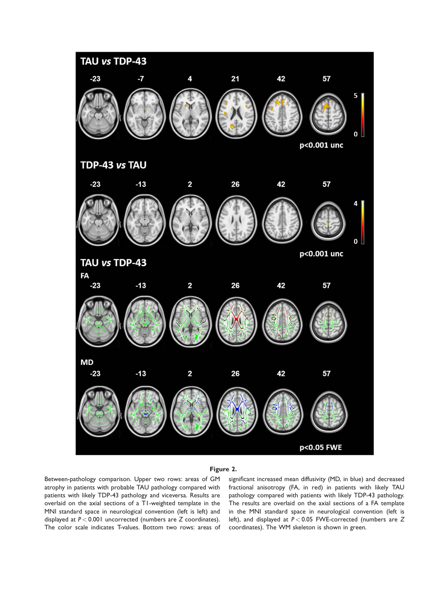

# **Figure 2.**

Between-pathology comparison. Upper two rows: areas of GM atrophy in patients with probable TAU pathology compared with patients with likely TDP-43 pathology and viceversa. Results are overlaid on the axial sections of a T1-weighted template in the MNI standard space in neurological convention (left is left) and displayed at *P* < 0.001 uncorrected (numbers are *Z* coordinates). The color scale indicates T-values. Bottom two rows: areas of

significant increased mean diffusivity (MD, in blue) and decreased fractional anisotropy (FA, in red) in patients with likely TAU pathology compared with patients with likely TDP-43 pathology. The results are overlaid on the axial sections of a FA template in the MNI standard space in neurological convention (left is left), and displayed at *P* < 0.05 FWE-corrected (numbers are *Z* coordinates). The WM skeleton is shown in green.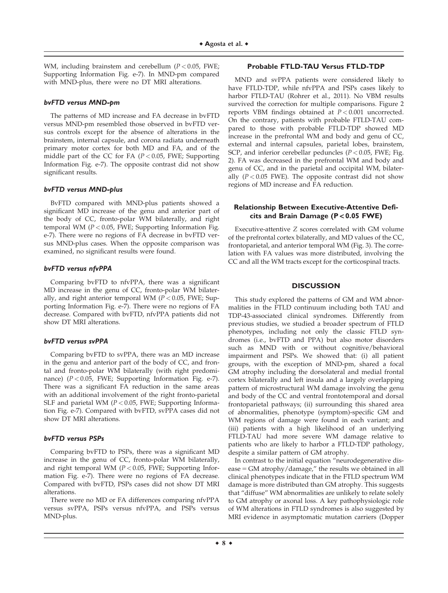WM, including brainstem and cerebellum ( $P < 0.05$ , FWE; Supporting Information Fig. e-7). In MND-pm compared with MND-plus, there were no DT MRI alterations.

### bvFTD versus MND-pm

The patterns of MD increase and FA decrease in bvFTD versus MND-pm resembled those observed in bvFTD versus controls except for the absence of alterations in the brainstem, internal capsule, and corona radiata underneath primary motor cortex for both MD and FA, and of the middle part of the CC for FA  $(P < 0.05$ , FWE; Supporting Information Fig. e-7). The opposite contrast did not show significant results.

#### bvFTD versus MND-plus

BvFTD compared with MND-plus patients showed a significant MD increase of the genu and anterior part of the body of CC, fronto-polar WM bilaterally, and right temporal WM ( $P < 0.05$ , FWE; Supporting Information Fig. e-7). There were no regions of FA decrease in bvFTD versus MND-plus cases. When the opposite comparison was examined, no significant results were found.

#### bvFTD versus nfvPPA

Comparing bvFTD to nfvPPA, there was a significant MD increase in the genu of CC, fronto-polar WM bilaterally, and right anterior temporal WM ( $P < 0.05$ , FWE; Supporting Information Fig. e-7). There were no regions of FA decrease. Compared with bvFTD, nfvPPA patients did not show DT MRI alterations.

# bvFTD versus svPPA

Comparing bvFTD to svPPA, there was an MD increase in the genu and anterior part of the body of CC, and frontal and fronto-polar WM bilaterally (with right predominance) ( $P < 0.05$ , FWE; Supporting Information Fig. e-7). There was a significant FA reduction in the same areas with an additional involvement of the right fronto-parietal SLF and parietal WM ( $P < 0.05$ , FWE; Supporting Information Fig. e-7). Compared with bvFTD, svPPA cases did not show DT MRI alterations.

# bvFTD versus PSPs

Comparing bvFTD to PSPs, there was a significant MD increase in the genu of CC, fronto-polar WM bilaterally, and right temporal WM ( $P < 0.05$ , FWE; Supporting Information Fig. e-7). There were no regions of FA decrease. Compared with bvFTD, PSPs cases did not show DT MRI alterations.

There were no MD or FA differences comparing nfvPPA versus svPPA, PSPs versus nfvPPA, and PSPs versus MND-plus.

#### **Probable FTLD-TAU Versus FTLD-TDP**

MND and svPPA patients were considered likely to have FTLD-TDP, while nfvPPA and PSPs cases likely to harbor FTLD-TAU (Rohrer et al., 2011). No VBM results survived the correction for multiple comparisons. Figure 2 reports VBM findings obtained at  $P < 0.001$  uncorrected. On the contrary, patients with probable FTLD-TAU compared to those with probable FTLD-TDP showed MD increase in the prefrontal WM and body and genu of CC, external and internal capsules, parietal lobes, brainstem, SCP, and inferior cerebellar peduncles ( $P < 0.05$ , FWE; Fig. 2). FA was decreased in the prefrontal WM and body and genu of CC, and in the parietal and occipital WM, bilaterally  $(P < 0.05$  FWE). The opposite contrast did not show regions of MD increase and FA reduction.

# **Relationship Between Executive-Attentive Deficits and Brain Damage (P** < **0.05 FWE)**

Executive-attentive Z scores correlated with GM volume of the prefrontal cortex bilaterally, and MD values of the CC, frontoparietal, and anterior temporal WM (Fig. 3). The correlation with FA values was more distributed, involving the CC and all the WM tracts except for the corticospinal tracts.

### **DISCUSSION**

This study explored the patterns of GM and WM abnormalities in the FTLD continuum including both TAU and TDP-43-associated clinical syndromes. Differently from previous studies, we studied a broader spectrum of FTLD phenotypes, including not only the classic FTLD syndromes (i.e., bvFTD and PPA) but also motor disorders such as MND with or without cognitive/behavioral impairment and PSPs. We showed that: (i) all patient groups, with the exception of MND-pm, shared a focal GM atrophy including the dorsolateral and medial frontal cortex bilaterally and left insula and a largely overlapping pattern of microstructural WM damage involving the genu and body of the CC and ventral frontotemporal and dorsal frontoparietal pathways; (ii) surrounding this shared area of abnormalities, phenotype (symptom)-specific GM and WM regions of damage were found in each variant; and (iii) patients with a high likelihood of an underlying FTLD-TAU had more severe WM damage relative to patients who are likely to harbor a FTLD-TDP pathology, despite a similar pattern of GM atrophy.

In contrast to the initial equation "neurodegenerative disease = GM atrophy/damage," the results we obtained in all clinical phenotypes indicate that in the FTLD spectrum WM damage is more distributed than GM atrophy. This suggests that "diffuse" WM abnormalities are unlikely to relate solely to GM atrophy or axonal loss. A key pathophysiologic role of WM alterations in FTLD syndromes is also suggested by MRI evidence in asymptomatic mutation carriers (Dopper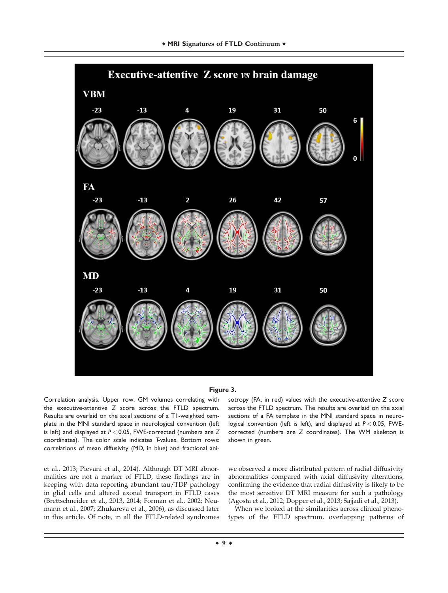



Correlation analysis. Upper row: GM volumes correlating with the executive-attentive *Z* score across the FTLD spectrum. Results are overlaid on the axial sections of a T1-weighted template in the MNI standard space in neurological convention (left is left) and displayed at *P* < 0.05, FWE-corrected (numbers are *Z* coordinates). The color scale indicates *T*-values. Bottom rows: correlations of mean diffusivity (MD, in blue) and fractional ani-

et al., 2013; Pievani et al., 2014). Although DT MRI abnormalities are not a marker of FTLD, these findings are in keeping with data reporting abundant tau/TDP pathology in glial cells and altered axonal transport in FTLD cases (Brettschneider et al., 2013, 2014; Forman et al., 2002; Neumann et al., 2007; Zhukareva et al., 2006), as discussed later in this article. Of note, in all the FTLD-related syndromes

sotropy (FA, in red) values with the executive-attentive *Z* score across the FTLD spectrum. The results are overlaid on the axial sections of a FA template in the MNI standard space in neurological convention (left is left), and displayed at *P* < 0.05, FWEcorrected (numbers are *Z* coordinates). The WM skeleton is shown in green.

we observed a more distributed pattern of radial diffusivity abnormalities compared with axial diffusivity alterations, confirming the evidence that radial diffusivity is likely to be the most sensitive DT MRI measure for such a pathology (Agosta et al., 2012; Dopper et al., 2013; Sajjadi et al., 2013).

When we looked at the similarities across clinical phenotypes of the FTLD spectrum, overlapping patterns of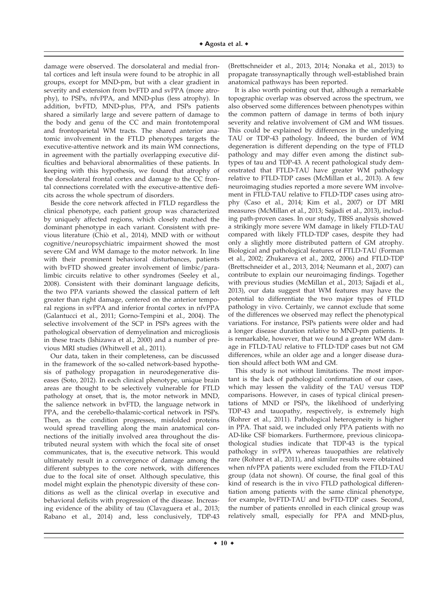damage were observed. The dorsolateral and medial frontal cortices and left insula were found to be atrophic in all groups, except for MND-pm, but with a clear gradient in severity and extension from bvFTD and svPPA (more atrophy), to PSPs, nfvPPA, and MND-plus (less atrophy). In addition, bvFTD, MND-plus, PPA, and PSPs patients shared a similarly large and severe pattern of damage to the body and genu of the CC and main frontotemporal and frontoparietal WM tracts. The shared anterior anatomic involvement in the FTLD phenotypes targets the executive-attentive network and its main WM connections, in agreement with the partially overlapping executive difficulties and behavioral abnormalities of these patients. In keeping with this hypothesis, we found that atrophy of the dorsolateral frontal cortex and damage to the CC frontal connections correlated with the executive-attentive deficits across the whole spectrum of disorders.

Beside the core network affected in FTLD regardless the clinical phenotype, each patient group was characterized by uniquely affected regions, which closely matched the dominant phenotype in each variant. Consistent with previous literature (Chiò et al., 2014), MND with or without cognitive/neuropsychiatric impairment showed the most severe GM and WM damage to the motor network. In line with their prominent behavioral disturbances, patients with bvFTD showed greater involvement of limbic/paralimbic circuits relative to other syndromes (Seeley et al., 2008). Consistent with their dominant language deficits, the two PPA variants showed the classical pattern of left greater than right damage, centered on the anterior temporal regions in svPPA and inferior frontal cortex in nfvPPA (Galantucci et al., 2011; Gorno-Tempini et al., 2004). The selective involvement of the SCP in PSPs agrees with the pathological observation of demyelination and microgliosis in these tracts (Ishizawa et al., 2000) and a number of previous MRI studies (Whitwell et al., 2011).

Our data, taken in their completeness, can be discussed in the framework of the so-called network-based hypothesis of pathology propagation in neurodegenerative diseases (Soto, 2012). In each clinical phenotype, unique brain areas are thought to be selectively vulnerable for FTLD pathology at onset, that is, the motor network in MND, the salience network in bvFTD, the language network in PPA, and the cerebello-thalamic-cortical network in PSPs. Then, as the condition progresses, misfolded proteins would spread travelling along the main anatomical connections of the initially involved area throughout the distributed neural system with which the focal site of onset communicates, that is, the executive network. This would ultimately result in a convergence of damage among the different subtypes to the core network, with differences due to the focal site of onset. Although speculative, this model might explain the phenotypic diversity of these conditions as well as the clinical overlap in executive and behavioral deficits with progression of the disease. Increasing evidence of the ability of tau (Clavaguera et al., 2013; Rabano et al., 2014) and, less conclusively, TDP-43

(Brettschneider et al., 2013, 2014; Nonaka et al., 2013) to propagate transsynaptically through well-established brain anatomical pathways has been reported.

It is also worth pointing out that, although a remarkable topographic overlap was observed across the spectrum, we also observed some differences between phenotypes within the common pattern of damage in terms of both injury severity and relative involvement of GM and WM tissues. This could be explained by differences in the underlying TAU or TDP-43 pathology. Indeed, the burden of WM degeneration is different depending on the type of FTLD pathology and may differ even among the distinct subtypes of tau and TDP-43. A recent pathological study demonstrated that FTLD-TAU have greater WM pathology relative to FTLD-TDP cases (McMillan et al., 2013). A few neuroimaging studies reported a more severe WM involvement in FTLD-TAU relative to FTLD-TDP cases using atrophy (Caso et al., 2014; Kim et al., 2007) or DT MRI measures (McMillan et al., 2013; Sajjadi et al., 2013), including path-proven cases. In our study, TBSS analysis showed a strikingly more severe WM damage in likely FTLD-TAU compared with likely FTLD-TDP cases, despite they had only a slightly more distributed pattern of GM atrophy. Biological and pathological features of FTLD-TAU (Forman et al., 2002; Zhukareva et al., 2002, 2006) and FTLD-TDP (Brettschneider et al., 2013, 2014; Neumann et al., 2007) can contribute to explain our neuroimaging findings. Together with previous studies (McMillan et al., 2013; Sajjadi et al., 2013), our data suggest that WM features may have the potential to differentiate the two major types of FTLD pathology in vivo. Certainly, we cannot exclude that some of the differences we observed may reflect the phenotypical variations. For instance, PSPs patients were older and had a longer disease duration relative to MND-pm patients. It is remarkable, however, that we found a greater WM damage in FTLD-TAU relative to FTLD-TDP cases but not GM differences, while an older age and a longer disease duration should affect both WM and GM.

This study is not without limitations. The most important is the lack of pathological confirmation of our cases, which may lessen the validity of the TAU versus TDP comparisons. However, in cases of typical clinical presentations of MND or PSPs, the likelihood of underlying TDP-43 and tauopathy, respectively, is extremely high (Rohrer et al., 2011). Pathological heterogeneity is higher in PPA. That said, we included only PPA patients with no AD-like CSF biomarkers. Furthermore, previous clinicopathological studies indicate that TDP-43 is the typical pathology in svPPA whereas tauopathies are relatively rare (Rohrer et al., 2011), and similar results were obtained when nfvPPA patients were excluded from the FTLD-TAU group (data not shown). Of course, the final goal of this kind of research is the in vivo FTLD pathological differentiation among patients with the same clinical phenotype, for example, bvFTD-TAU and bvFTD-TDP cases. Second, the number of patients enrolled in each clinical group was relatively small, especially for PPA and MND-plus,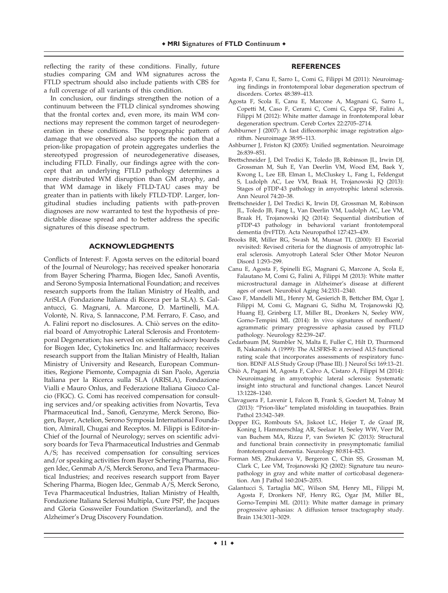reflecting the rarity of these conditions. Finally, future studies comparing GM and WM signatures across the FTLD spectrum should also include patients with CBS for a full coverage of all variants of this condition.

In conclusion, our findings strengthen the notion of a continuum between the FTLD clinical syndromes showing that the frontal cortex and, even more, its main WM connections may represent the common target of neurodegeneration in these conditions. The topographic pattern of damage that we observed also supports the notion that a prion-like propagation of protein aggregates underlies the stereotyped progression of neurodegenerative diseases, including FTLD. Finally, our findings agree with the concept that an underlying FTLD pathology determines a more distributed WM disruption than GM atrophy, and that WM damage in likely FTLD-TAU cases may be greater than in patients with likely FTLD-TDP. Larger, longitudinal studies including patients with path-proven diagnoses are now warranted to test the hypothesis of predictable disease spread and to better address the specific signatures of this disease spectrum.

# **ACKNOWLEDGMENTS**

Conflicts of Interest: F. Agosta serves on the editorial board of the Journal of Neurology; has received speaker honoraria from Bayer Schering Pharma, Biogen Idec, Sanofi Aventis, and Serono Symposia International Foundation; and receives research supports from the Italian Ministry of Health, and AriSLA (Fondazione Italiana di Ricerca per la SLA). S. Galantucci, G. Magnani, A. Marcone, D. Martinelli, M.A. Volontè, N. Riva, S. Iannaccone, P.M. Ferraro, F. Caso, and A. Falini report no disclosures. A. Chiò serves on the editorial board of Amyotrophic Lateral Sclerosis and Frontotemporal Degeneration; has served on scientific advisory boards for Biogen Idec, Cytokinetics Inc. and Italfarmaco; receives research support from the Italian Ministry of Health, Italian Ministry of University and Research, European Communities, Regione Piemonte, Compagnia di San Paolo, Agenzia Italiana per la Ricerca sulla SLA (ARISLA), Fondazione Vialli e Mauro Onlus, and Federazione Italiana Giuoco Calcio (FIGC). G. Comi has received compensation for consulting services and/or speaking activities from Novartis, Teva Pharmaceutical Ind., Sanofi, Genzyme, Merck Serono, Biogen, Bayer, Actelion, Serono Symposia International Foundation, Almirall, Chugai and Receptos. M. Filippi is Editor-in-Chief of the Journal of Neurology; serves on scientific advisory boards for Teva Pharmaceutical Industries and Genmab A/S; has received compensation for consulting services and/or speaking activities from Bayer Schering Pharma, Biogen Idec, Genmab A/S, Merck Serono, and Teva Pharmaceutical Industries; and receives research support from Bayer Schering Pharma, Biogen Idec, Genmab A/S, Merck Serono, Teva Pharmaceutical Industries, Italian Ministry of Health, Fondazione Italiana Sclerosi Multipla, Cure PSP, the Jacques and Gloria Gossweiler Foundation (Switzerland), and the Alzheimer's Drug Discovery Foundation.

# **REFERENCES**

- Agosta F, Canu E, Sarro L, Comi G, Filippi M (2011): Neuroimaging findings in frontotemporal lobar degeneration spectrum of disorders. Cortex 48:389–413.
- Agosta F, Scola E, Canu E, Marcone A, Magnani G, Sarro L, Copetti M, Caso F, Cerami C, Comi G, Cappa SF, Falini A, Filippi M (2012): White matter damage in frontotemporal lobar degeneration spectrum. Cereb Cortex 22:2705–2714.
- Ashburner J (2007): A fast diffeomorphic image registration algorithm. Neuroimage 38:95–113.
- Ashburner J, Friston KJ (2005): Unified segmentation. Neuroimage 26:839–851.
- Brettschneider J, Del Tredici K, Toledo JB, Robinson JL, Irwin DJ, Grossman M, Suh E, Van Deerlin VM, Wood EM, Baek Y, Kwong L, Lee EB, Elman L, McCluskey L, Fang L, Feldengut S, Ludolph AC, Lee VM, Braak H, Trojanowski JQ (2013): Stages of pTDP-43 pathology in amyotrophic lateral sclerosis. Ann Neurol 74:20–38.
- Brettschneider J, Del Tredici K, Irwin DJ, Grossman M, Robinson JL, Toledo JB, Fang L, Van Deerlin VM, Ludolph AC, Lee VM, Braak H, Trojanowski JQ (2014): Sequential distribution of pTDP-43 pathology in behavioral variant frontotemporal dementia (bvFTD). Acta Neuropathol 127:423–439.
- Brooks BR, Miller RG, Swash M, Munsat TL (2000): El Escorial revisited: Revised criteria for the diagnosis of amyotrophic lateral sclerosis. Amyotroph Lateral Scler Other Motor Neuron Disord 1:293–299.
- Canu E, Agosta F, Spinelli EG, Magnani G, Marcone A, Scola E, Falautano M, Comi G, Falini A, Filippi M (2013): White matter microstructural damage in Alzheimer's disease at different ages of onset. Neurobiol Aging 34:2331–2340.
- Caso F, Mandelli ML, Henry M, Gesierich B, Bettcher BM, Ogar J, Filippi M, Comi G, Magnani G, Sidhu M, Trojanowski JQ, Huang EJ, Grinberg LT, Miller BL, Dronkers N, Seeley WW, Gorno-Tempini ML (2014): In vivo signatures of nonfluent/ agrammatic primary progressive aphasia caused by FTLD pathology. Neurology 82:239–247.
- Cedarbaum JM, Stambler N, Malta E, Fuller C, Hilt D, Thurmond B, Nakanishi A (1999): The ALSFRS-R: a revised ALS functional rating scale that incorporates assessments of respiratory function. BDNF ALS Study Group (Phase III). J Neurol Sci 169:13–21.
- Chiò A, Pagani M, Agosta F, Calvo A, Cistaro A, Filippi M (2014): Neuroimaging in amyotrophic lateral sclerosis: Systematic insight into structural and functional changes. Lancet Neurol 13:1228–1240.
- Clavaguera F, Lavenir I, Falcon B, Frank S, Goedert M, Tolnay M (2013): "Prion-like" templated misfolding in tauopathies. Brain Pathol 23:342–349.
- Dopper EG, Rombouts SA, Jiskoot LC, Heijer T, de Graaf JR, Koning I, Hammerschlag AR, Seelaar H, Seeley WW, Veer IM, van Buchem MA, Rizzu P, van Swieten JC (2013): Structural and functional brain connectivity in presymptomatic familial frontotemporal dementia. Neurology 80:814–823.
- Forman MS, Zhukareva V, Bergeron C, Chin SS, Grossman M, Clark C, Lee VM, Trojanowski JQ (2002): Signature tau neuropathology in gray and white matter of corticobasal degeneration. Am J Pathol 160:2045–2053.
- Galantucci S, Tartaglia MC, Wilson SM, Henry ML, Filippi M, Agosta F, Dronkers NF, Henry RG, Ogar JM, Miller BL, Gorno-Tempini ML (2011): White matter damage in primary progressive aphasias: A diffusion tensor tractography study. Brain 134:3011–3029.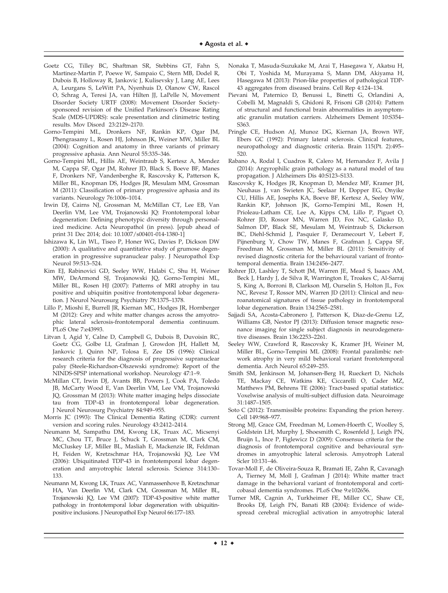- Goetz CG, Tilley BC, Shaftman SR, Stebbins GT, Fahn S, Martinez-Martin P, Poewe W, Sampaio C, Stern MB, Dodel R, Dubois B, Holloway R, Jankovic J, Kulisevsky J, Lang AE, Lees A, Leurgans S, LeWitt PA, Nyenhuis D, Olanow CW, Rascol O, Schrag A, Teresi JA, van Hilten JJ, LaPelle N, Movement Disorder Society URTF (2008): Movement Disorder Societysponsored revision of the Unified Parkinson's Disease Rating Scale (MDS-UPDRS): scale presentation and clinimetric testing results. Mov Disord 23:2129–2170.
- Gorno-Tempini ML, Dronkers NF, Rankin KP, Ogar JM, Phengrasamy L, Rosen HJ, Johnson JK, Weiner MW, Miller BL (2004): Cognition and anatomy in three variants of primary progressive aphasia. Ann Neurol 55:335–346.
- Gorno-Tempini ML, Hillis AE, Weintraub S, Kertesz A, Mendez M, Cappa SF, Ogar JM, Rohrer JD, Black S, Boeve BF, Manes F, Dronkers NF, Vandenberghe R, Rascovsky K, Patterson K, Miller BL, Knopman DS, Hodges JR, Mesulam MM, Grossman M (2011): Classification of primary progressive aphasia and its variants. Neurology 76:1006–1014.
- Irwin DJ, Cairns NJ, Grossman M, McMillan CT, Lee EB, Van Deerlin VM, Lee VM, Trojanowski JQ: Frontotemporal lobar degeneration: Defining phenotypic diversity through personalized medicine. Acta Neuropathol (in press). [epub ahead of print 31 Dec 2014; doi: 10.1007/s00401-014-1380-1]
- Ishizawa K, Lin WL, Tiseo P, Honer WG, Davies P, Dickson DW (2000): A qualitative and quantitative study of grumose degeneration in progressive supranuclear palsy. J Neuropathol Exp Neurol 59:513–524.
- Kim EJ, Rabinovici GD, Seeley WW, Halabi C, Shu H, Weiner MW, DeArmond SJ, Trojanowski JQ, Gorno-Tempini ML, Miller BL, Rosen HJ (2007): Patterns of MRI atrophy in tau positive and ubiquitin positive frontotemporal lobar degeneration. J Neurol Neurosurg Psychiatry 78:1375-1378.
- Lillo P, Mioshi E, Burrell JR, Kiernan MC, Hodges JR, Hornberger M (2012): Grey and white matter changes across the amyotrophic lateral sclerosis-frontotemporal dementia continuum. PLoS One 7:e43993.
- Litvan I, Agid Y, Calne D, Campbell G, Dubois B, Duvoisin RC, Goetz CG, Golbe LI, Grafman J, Growdon JH, Hallett M, Jankovic J, Quinn NP, Tolosa E, Zee DS (1996): Clinical research criteria for the diagnosis of progressive supranuclear palsy (Steele-Richardson-Olszewski syndrome): Report of the NINDS-SPSP international workshop. Neurology 47:1–9.
- McMillan CT, Irwin DJ, Avants BB, Powers J, Cook PA, Toledo JB, McCarty Wood E, Van Deerlin VM, Lee VM, Trojanowski JQ, Grossman M (2013): White matter imaging helps dissociate tau from TDP-43 in frontotemporal lobar degeneration. J Neurol Neurosurg Psychiatry 84:949–955.
- Morris JC (1993): The Clinical Dementia Rating (CDR): current version and scoring rules. Neurology 43:2412–2414.
- Neumann M, Sampathu DM, Kwong LK, Truax AC, Micsenyi MC, Chou TT, Bruce J, Schuck T, Grossman M, Clark CM, McCluskey LF, Miller BL, Masliah E, Mackenzie IR, Feldman H, Feiden W, Kretzschmar HA, Trojanowski JQ, Lee VM (2006): Ubiquitinated TDP-43 in frontotemporal lobar degeneration and amyotrophic lateral sclerosis. Science 314:130– 133.
- Neumann M, Kwong LK, Truax AC, Vanmassenhove B, Kretzschmar HA, Van Deerlin VM, Clark CM, Grossman M, Miller BL, Trojanowski JQ, Lee VM (2007): TDP-43-positive white matter pathology in frontotemporal lobar degeneration with ubiquitinpositive inclusions. J Neuropathol Exp Neurol 66:177–183.
- Nonaka T, Masuda-Suzukake M, Arai T, Hasegawa Y, Akatsu H, Obi T, Yoshida M, Murayama S, Mann DM, Akiyama H, Hasegawa M (2013): Prion-like properties of pathological TDP-43 aggregates from diseased brains. Cell Rep 4:124–134.
- Pievani M, Paternico D, Benussi L, Binetti G, Orlandini A, Cobelli M, Magnaldi S, Ghidoni R, Frisoni GB (2014): Pattern of structural and functional brain abnormalities in asymptomatic granulin mutation carriers. Alzheimers Dement 10:S354– S363.
- Pringle CE, Hudson AJ, Munoz DG, Kiernan JA, Brown WF, Ebers GC (1992): Primary lateral sclerosis. Clinical features, neuropathology and diagnostic criteria. Brain 115(Pt. 2):495– 520.
- Rabano A, Rodal I, Cuadros R, Calero M, Hernandez F, Avila J (2014): Argyrophilic grain pathology as a natural model of tau propagation. J Alzheimers Dis 40:S123–S133.
- Rascovsky K, Hodges JR, Knopman D, Mendez MF, Kramer JH, Neuhaus J, van Swieten JC, Seelaar H, Dopper EG, Onyike CU, Hillis AE, Josephs KA, Boeve BF, Kertesz A, Seeley WW, Rankin KP, Johnson JK, Gorno-Tempini ML, Rosen H, Prioleau-Latham CE, Lee A, Kipps CM, Lillo P, Piguet O, Rohrer JD, Rossor MN, Warren JD, Fox NC, Galasko D, Salmon DP, Black SE, Mesulam M, Weintraub S, Dickerson BC, Diehl-Schmid J, Pasquier F, Deramecourt V, Lebert F, Pijnenburg Y, Chow TW, Manes F, Grafman J, Cappa SF, Freedman M, Grossman M, Miller BL (2011): Sensitivity of revised diagnostic criteria for the behavioural variant of frontotemporal dementia. Brain 134:2456–2477.
- Rohrer JD, Lashley T, Schott JM, Warren JE, Mead S, Isaacs AM, Beck J, Hardy J, de Silva R, Warrington E, Troakes C, Al-Sarraj S, King A, Borroni B, Clarkson MJ, Ourselin S, Holton JL, Fox NC, Revesz T, Rossor MN, Warren JD (2011): Clinical and neuroanatomical signatures of tissue pathology in frontotemporal lobar degeneration. Brain 134:2565–2581.
- Sajjadi SA, Acosta-Cabronero J, Patterson K, Diaz-de-Grenu LZ, Williams GB, Nestor PJ (2013): Diffusion tensor magnetic resonance imaging for single subject diagnosis in neurodegenerative diseases. Brain 136:2253–2261.
- Seeley WW, Crawford R, Rascovsky K, Kramer JH, Weiner M, Miller BL, Gorno-Tempini ML (2008): Frontal paralimbic network atrophy in very mild behavioral variant frontotemporal dementia. Arch Neurol 65:249–255.
- Smith SM, Jenkinson M, Johansen-Berg H, Rueckert D, Nichols TE, Mackay CE, Watkins KE, Ciccarelli O, Cader MZ, Matthews PM, Behrens TE (2006): Tract-based spatial statistics: Voxelwise analysis of multi-subject diffusion data. Neuroimage 31:1487–1505.
- Soto C (2012): Transmissible proteins: Expanding the prion heresy. Cell 149:968–977.
- Strong MJ, Grace GM, Freedman M, Lomen-Hoerth C, Woolley S, Goldstein LH, Murphy J, Shoesmith C, Rosenfeld J, Leigh PN, Bruijn L, Ince P, Figlewicz D (2009): Consensus criteria for the diagnosis of frontotemporal cognitive and behavioural syndromes in amyotrophic lateral sclerosis. Amyotroph Lateral Scler 10:131–46.
- Tovar-Moll F, de Oliveira-Souza R, Bramati IE, Zahn R, Cavanagh A, Tierney M, Moll J, Grafman J (2014): White matter tract damage in the behavioral variant of frontotemporal and corticobasal dementia syndromes. PLoS One 9:e102656.
- Turner MR, Cagnin A, Turkheimer FE, Miller CC, Shaw CE, Brooks DJ, Leigh PN, Banati RB (2004): Evidence of widespread cerebral microglial activation in amyotrophic lateral